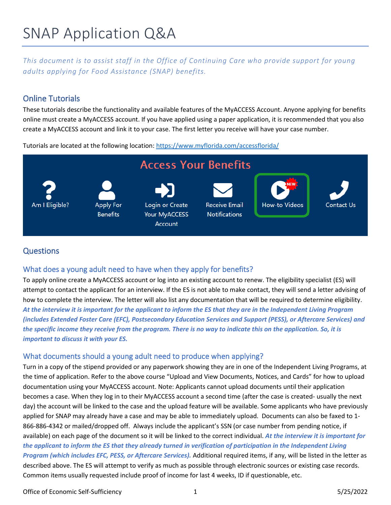# SNAP Application Q&A

*This document is to assist staff in the Office of Continuing Care who provide support for young adults applying for Food Assistance (SNAP) benefits.* 

## Online Tutorials

These tutorials describe the functionality and available features of the MyACCESS Account. Anyone applying for benefits online must create a MyACCESS account. If you have applied using a paper application, it is recommended that you also create a MyACCESS account and link it to your case. The first letter you receive will have your case number.

Tutorials are located at the following location: https://www.myflorida.com/accessflorida/



### **Questions**

### What does a young adult need to have when they apply for benefits?

To apply online create a MyACCESS account or log into an existing account to renew. The eligibility specialist (ES) will attempt to contact the applicant for an interview. If the ES is not able to make contact, they will send a letter advising of how to complete the interview. The letter will also list any documentation that will be required to determine eligibility. *At the interview it is important for the applicant to inform the ES that they are in the Independent Living Program (includes Extended Foster Care (EFC), Postsecondary Education Services and Support (PESS), or Aftercare Services) and the specific income they receive from the program. There is no way to indicate this on the application. So, it is important to discuss it with your ES.*

### What documents should a young adult need to produce when applying?

Turn in a copy of the stipend provided or any paperwork showing they are in one of the Independent Living Programs, at the time of application. Refer to the above course "Upload and View Documents, Notices, and Cards" for how to upload documentation using your MyACCESS account. Note: Applicants cannot upload documents until their application becomes a case. When they log in to their MyACCESS account a second time (after the case is created- usually the next day) the account will be linked to the case and the upload feature will be available. Some applicants who have previously applied for SNAP may already have a case and may be able to immediately upload. Documents can also be faxed to 1- 866-886-4342 or mailed/dropped off. Always include the applicant's SSN (or case number from pending notice, if available) on each page of the document so it will be linked to the correct individual. *At the interview it is important for the applicant to inform the ES that they already turned in verification of participation in the Independent Living Program (which includes EFC, PESS, or Aftercare Services).* Additional required items, if any, will be listed in the letter as described above. The ES will attempt to verify as much as possible through electronic sources or existing case records. Common items usually requested include proof of income for last 4 weeks, ID if questionable, etc.

Office of Economic Self-Sufficiency 1 5/25/2022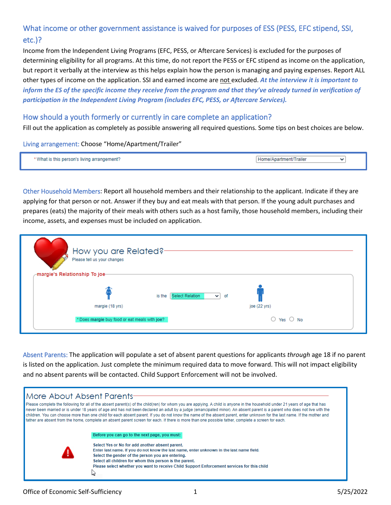# What income or other government assistance is waived for purposes of ESS (PESS, EFC stipend, SSI, etc.)?

Income from the Independent Living Programs (EFC, PESS, or Aftercare Services) is excluded for the purposes of determining eligibility for all programs. At this time, do not report the PESS or EFC stipend as income on the application, but report it verbally at the interview as this helps explain how the person is managing and paying expenses. Report ALL other types of income on the application. SSI and earned income are not excluded. *At the interview it is important to inform the ES of the specific income they receive from the program and that they've already turned in verification of participation in the Independent Living Program (includes EFC, PESS, or Aftercare Services).*

#### How should a youth formerly or currently in care complete an application?

Fill out the application as completely as possible answering all required questions. Some tips on best choices are below.

#### Living arrangement: Choose "Home/Apartment/Trailer"

| uwing arr<br>snuemen.<br>. | чшлань |  |
|----------------------------|--------|--|

Other Household Members: Report all household members and their relationship to the applicant. Indicate if they are applying for that person or not. Answer if they buy and eat meals with that person. If the young adult purchases and prepares (eats) the majority of their meals with others such as a host family, those household members, including their income, assets, and expenses must be included on application.

| margie's Relationship To joe- | How you are Related?-<br>Please tell us your changes             |                                  |                                                    |  |
|-------------------------------|------------------------------------------------------------------|----------------------------------|----------------------------------------------------|--|
|                               | margie (18 yrs)<br>* Does margie buy food or eat meals with joe? | is the Select Relation<br>$\vee$ | of<br>joe (22 yrs)<br>$\bigcirc$ Yes $\bigcirc$ No |  |

Absent Parents: The application will populate a set of absent parent questions for applicants *through* age 18 if no parent is listed on the application. Just complete the minimum required data to move forward. This will not impact eligibility and no absent parents will be contacted. Child Support Enforcement will not be involved.